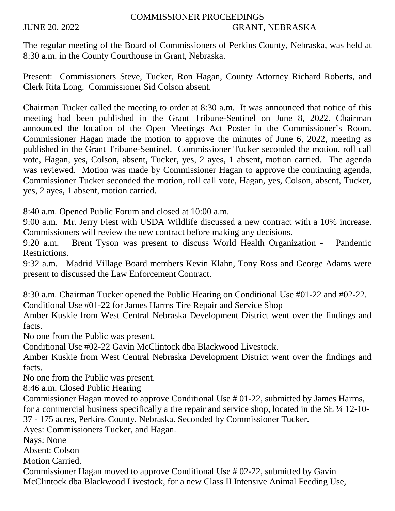## COMMISSIONER PROCEEDINGS JUNE 20, 2022 GRANT, NEBRASKA

The regular meeting of the Board of Commissioners of Perkins County, Nebraska, was held at 8:30 a.m. in the County Courthouse in Grant, Nebraska.

Present: Commissioners Steve, Tucker, Ron Hagan, County Attorney Richard Roberts, and Clerk Rita Long. Commissioner Sid Colson absent.

Chairman Tucker called the meeting to order at 8:30 a.m. It was announced that notice of this meeting had been published in the Grant Tribune-Sentinel on June 8, 2022. Chairman announced the location of the Open Meetings Act Poster in the Commissioner's Room. Commissioner Hagan made the motion to approve the minutes of June 6, 2022, meeting as published in the Grant Tribune-Sentinel. Commissioner Tucker seconded the motion, roll call vote, Hagan, yes, Colson, absent, Tucker, yes, 2 ayes, 1 absent, motion carried. The agenda was reviewed. Motion was made by Commissioner Hagan to approve the continuing agenda, Commissioner Tucker seconded the motion, roll call vote, Hagan, yes, Colson, absent, Tucker, yes, 2 ayes, 1 absent, motion carried.

8:40 a.m. Opened Public Forum and closed at 10:00 a.m.

9:00 a.m. Mr. Jerry Fiest with USDA Wildlife discussed a new contract with a 10% increase. Commissioners will review the new contract before making any decisions.

9:20 a.m. Brent Tyson was present to discuss World Health Organization - Pandemic Restrictions.

9:32 a.m. Madrid Village Board members Kevin Klahn, Tony Ross and George Adams were present to discussed the Law Enforcement Contract.

8:30 a.m. Chairman Tucker opened the Public Hearing on Conditional Use #01-22 and #02-22. Conditional Use #01-22 for James Harms Tire Repair and Service Shop

Amber Kuskie from West Central Nebraska Development District went over the findings and facts.

No one from the Public was present.

Conditional Use #02-22 Gavin McClintock dba Blackwood Livestock.

Amber Kuskie from West Central Nebraska Development District went over the findings and facts.

No one from the Public was present.

8:46 a.m. Closed Public Hearing

Commissioner Hagan moved to approve Conditional Use # 01-22, submitted by James Harms, for a commercial business specifically a tire repair and service shop, located in the SE ¼ 12-10-

37 - 175 acres, Perkins County, Nebraska. Seconded by Commissioner Tucker.

Ayes: Commissioners Tucker, and Hagan.

Nays: None

Absent: Colson

Motion Carried.

Commissioner Hagan moved to approve Conditional Use # 02-22, submitted by Gavin McClintock dba Blackwood Livestock, for a new Class II Intensive Animal Feeding Use,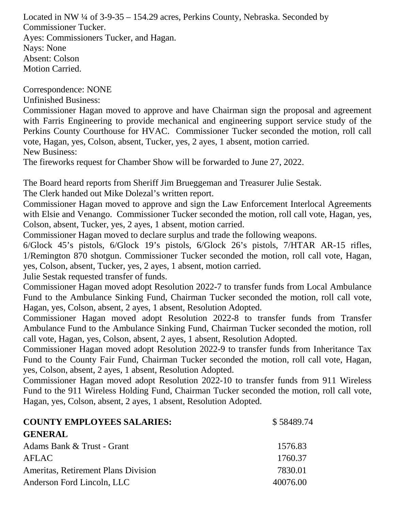Located in NW ¼ of 3-9-35 – 154.29 acres, Perkins County, Nebraska. Seconded by Commissioner Tucker. Ayes: Commissioners Tucker, and Hagan. Nays: None Absent: Colson Motion Carried.

Correspondence: NONE

Unfinished Business:

Commissioner Hagan moved to approve and have Chairman sign the proposal and agreement with Farris Engineering to provide mechanical and engineering support service study of the Perkins County Courthouse for HVAC. Commissioner Tucker seconded the motion, roll call vote, Hagan, yes, Colson, absent, Tucker, yes, 2 ayes, 1 absent, motion carried. New Business:

The fireworks request for Chamber Show will be forwarded to June 27, 2022.

The Board heard reports from Sheriff Jim Brueggeman and Treasurer Julie Sestak.

The Clerk handed out Mike Dolezal's written report.

Commissioner Hagan moved to approve and sign the Law Enforcement Interlocal Agreements with Elsie and Venango. Commissioner Tucker seconded the motion, roll call vote, Hagan, yes, Colson, absent, Tucker, yes, 2 ayes, 1 absent, motion carried.

Commissioner Hagan moved to declare surplus and trade the following weapons.

6/Glock 45's pistols, 6/Glock 19's pistols, 6/Glock 26's pistols, 7/HTAR AR-15 rifles, 1/Remington 870 shotgun. Commissioner Tucker seconded the motion, roll call vote, Hagan, yes, Colson, absent, Tucker, yes, 2 ayes, 1 absent, motion carried.

Julie Sestak requested transfer of funds.

Commissioner Hagan moved adopt Resolution 2022-7 to transfer funds from Local Ambulance Fund to the Ambulance Sinking Fund, Chairman Tucker seconded the motion, roll call vote, Hagan, yes, Colson, absent, 2 ayes, 1 absent, Resolution Adopted.

Commissioner Hagan moved adopt Resolution 2022-8 to transfer funds from Transfer Ambulance Fund to the Ambulance Sinking Fund, Chairman Tucker seconded the motion, roll call vote, Hagan, yes, Colson, absent, 2 ayes, 1 absent, Resolution Adopted.

Commissioner Hagan moved adopt Resolution 2022-9 to transfer funds from Inheritance Tax Fund to the County Fair Fund, Chairman Tucker seconded the motion, roll call vote, Hagan, yes, Colson, absent, 2 ayes, 1 absent, Resolution Adopted.

Commissioner Hagan moved adopt Resolution 2022-10 to transfer funds from 911 Wireless Fund to the 911 Wireless Holding Fund, Chairman Tucker seconded the motion, roll call vote, Hagan, yes, Colson, absent, 2 ayes, 1 absent, Resolution Adopted.

| <b>COUNTY EMPLOYEES SALARIES:</b>          | \$58489.74 |
|--------------------------------------------|------------|
| <b>GENERAL</b>                             |            |
| Adams Bank & Trust - Grant                 | 1576.83    |
| <b>AFLAC</b>                               | 1760.37    |
| <b>Ameritas, Retirement Plans Division</b> | 7830.01    |
| Anderson Ford Lincoln, LLC                 | 40076.00   |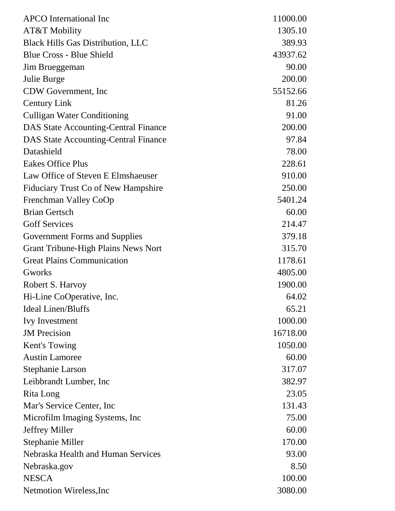| <b>APCO</b> International Inc               | 11000.00 |
|---------------------------------------------|----------|
| AT&T Mobility                               | 1305.10  |
| <b>Black Hills Gas Distribution, LLC</b>    | 389.93   |
| <b>Blue Cross - Blue Shield</b>             | 43937.62 |
| Jim Brueggeman                              | 90.00    |
| Julie Burge                                 | 200.00   |
| CDW Government, Inc.                        | 55152.66 |
| <b>Century Link</b>                         | 81.26    |
| <b>Culligan Water Conditioning</b>          | 91.00    |
| <b>DAS State Accounting-Central Finance</b> | 200.00   |
| <b>DAS State Accounting-Central Finance</b> | 97.84    |
| Datashield                                  | 78.00    |
| <b>Eakes Office Plus</b>                    | 228.61   |
| Law Office of Steven E Elmshaeuser          | 910.00   |
| Fiduciary Trust Co of New Hampshire         | 250.00   |
| Frenchman Valley CoOp                       | 5401.24  |
| <b>Brian Gertsch</b>                        | 60.00    |
| <b>Goff Services</b>                        | 214.47   |
| <b>Government Forms and Supplies</b>        | 379.18   |
| <b>Grant Tribune-High Plains News Nort</b>  | 315.70   |
| <b>Great Plains Communication</b>           | 1178.61  |
| Gworks                                      | 4805.00  |
| Robert S. Harvoy                            | 1900.00  |
| Hi-Line CoOperative, Inc.                   | 64.02    |
| <b>Ideal Linen/Bluffs</b>                   | 65.21    |
| <b>Ivy Investment</b>                       | 1000.00  |
| <b>JM</b> Precision                         | 16718.00 |
| Kent's Towing                               | 1050.00  |
| <b>Austin Lamoree</b>                       | 60.00    |
| <b>Stephanie Larson</b>                     | 317.07   |
| Leibbrandt Lumber, Inc.                     | 382.97   |
| Rita Long                                   | 23.05    |
| Mar's Service Center, Inc.                  | 131.43   |
| Microfilm Imaging Systems, Inc.             | 75.00    |
| Jeffrey Miller                              | 60.00    |
| Stephanie Miller                            | 170.00   |
| Nebraska Health and Human Services          | 93.00    |
| Nebraska.gov                                | 8.50     |
| <b>NESCA</b>                                | 100.00   |
| Netmotion Wireless, Inc.                    | 3080.00  |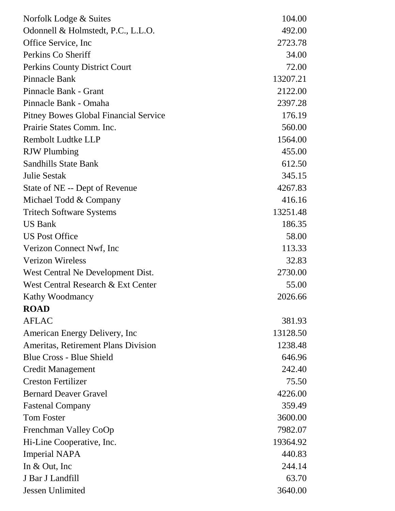| Norfolk Lodge & Suites                       | 104.00   |
|----------------------------------------------|----------|
| Odonnell & Holmstedt, P.C., L.L.O.           | 492.00   |
| Office Service, Inc.                         | 2723.78  |
| Perkins Co Sheriff                           | 34.00    |
| Perkins County District Court                | 72.00    |
| Pinnacle Bank                                | 13207.21 |
| Pinnacle Bank - Grant                        | 2122.00  |
| Pinnacle Bank - Omaha                        | 2397.28  |
| <b>Pitney Bowes Global Financial Service</b> | 176.19   |
| Prairie States Comm. Inc.                    | 560.00   |
| Rembolt Ludtke LLP                           | 1564.00  |
| <b>RJW</b> Plumbing                          | 455.00   |
| <b>Sandhills State Bank</b>                  | 612.50   |
| <b>Julie Sestak</b>                          | 345.15   |
| State of NE -- Dept of Revenue               | 4267.83  |
| Michael Todd & Company                       | 416.16   |
| <b>Tritech Software Systems</b>              | 13251.48 |
| <b>US Bank</b>                               | 186.35   |
| <b>US Post Office</b>                        | 58.00    |
| Verizon Connect Nwf, Inc                     | 113.33   |
| <b>Verizon Wireless</b>                      | 32.83    |
| West Central Ne Development Dist.            | 2730.00  |
| West Central Research & Ext Center           | 55.00    |
| Kathy Woodmancy                              | 2026.66  |
| <b>ROAD</b>                                  |          |
| <b>AFLAC</b>                                 | 381.93   |
| American Energy Delivery, Inc                | 13128.50 |
| Ameritas, Retirement Plans Division          | 1238.48  |
| <b>Blue Cross - Blue Shield</b>              | 646.96   |
| <b>Credit Management</b>                     | 242.40   |
| <b>Creston Fertilizer</b>                    | 75.50    |
| <b>Bernard Deaver Gravel</b>                 | 4226.00  |
| <b>Fastenal Company</b>                      | 359.49   |
| <b>Tom Foster</b>                            | 3600.00  |
| Frenchman Valley CoOp                        | 7982.07  |
| Hi-Line Cooperative, Inc.                    | 19364.92 |
| <b>Imperial NAPA</b>                         | 440.83   |
| In $&$ Out, Inc                              | 244.14   |
| J Bar J Landfill                             | 63.70    |
| Jessen Unlimited                             | 3640.00  |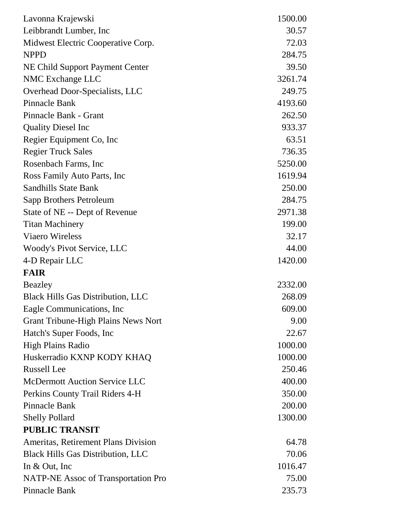| Lavonna Krajewski                          | 1500.00 |
|--------------------------------------------|---------|
| Leibbrandt Lumber, Inc.                    | 30.57   |
| Midwest Electric Cooperative Corp.         | 72.03   |
| <b>NPPD</b>                                | 284.75  |
| NE Child Support Payment Center            | 39.50   |
| NMC Exchange LLC                           | 3261.74 |
| Overhead Door-Specialists, LLC             | 249.75  |
| <b>Pinnacle Bank</b>                       | 4193.60 |
| Pinnacle Bank - Grant                      | 262.50  |
| <b>Quality Diesel Inc.</b>                 | 933.37  |
| Regier Equipment Co, Inc.                  | 63.51   |
| <b>Regier Truck Sales</b>                  | 736.35  |
| Rosenbach Farms, Inc                       | 5250.00 |
| Ross Family Auto Parts, Inc.               | 1619.94 |
| <b>Sandhills State Bank</b>                | 250.00  |
| Sapp Brothers Petroleum                    | 284.75  |
| State of NE -- Dept of Revenue             | 2971.38 |
| <b>Titan Machinery</b>                     | 199.00  |
| <b>Viaero Wireless</b>                     | 32.17   |
| Woody's Pivot Service, LLC                 | 44.00   |
| 4-D Repair LLC                             | 1420.00 |
| <b>FAIR</b>                                |         |
| <b>Beazley</b>                             | 2332.00 |
| <b>Black Hills Gas Distribution, LLC</b>   | 268.09  |
| Eagle Communications, Inc                  | 609.00  |
| <b>Grant Tribune-High Plains News Nort</b> | 9.00    |
| Hatch's Super Foods, Inc.                  | 22.67   |
| <b>High Plains Radio</b>                   | 1000.00 |
| Huskerradio KXNP KODY KHAQ                 | 1000.00 |
| <b>Russell</b> Lee                         | 250.46  |
| <b>McDermott Auction Service LLC</b>       | 400.00  |
| Perkins County Trail Riders 4-H            | 350.00  |
| <b>Pinnacle Bank</b>                       | 200.00  |
| <b>Shelly Pollard</b>                      | 1300.00 |
| <b>PUBLIC TRANSIT</b>                      |         |
| Ameritas, Retirement Plans Division        | 64.78   |
| <b>Black Hills Gas Distribution, LLC</b>   | 70.06   |
| In $& Out, Inc$                            | 1016.47 |
| <b>NATP-NE Assoc of Transportation Pro</b> | 75.00   |
| Pinnacle Bank                              | 235.73  |